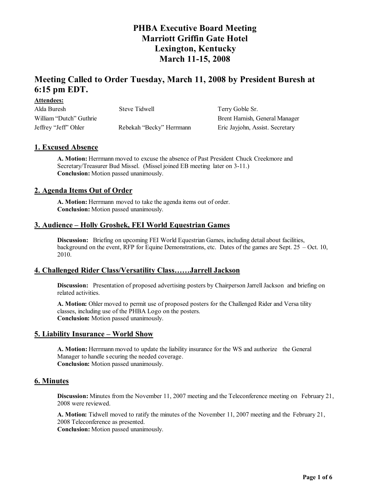# **Meeting Called to Order Tuesday, March 11, 2008 by President Buresh at 6:15 pm EDT.**

| 1.100011000000          |                          |                                 |
|-------------------------|--------------------------|---------------------------------|
| Alda Buresh             | Steve Tidwell            | Terry Goble Sr.                 |
| William "Dutch" Guthrie |                          | Brent Harnish, General Manager  |
| Jeffrey "Jeff" Ohler    | Rebekah "Becky" Herrmann | Eric Jayjohn, Assist. Secretary |

### **1. Excused Absence**

**Attendees:**

**A. Motion:** Herrmann moved to excuse the absence of Past President Chuck Creekmore and Secretary/Treasurer Bud Missel. (Missel joined EB meeting later on 3-11.) **Conclusion:** Motion passed unanimously.

#### **2. Agenda Items Out of Order**

**A. Motion:** Herrmann moved to take the agenda items out of order. **Conclusion:** Motion passed unanimously.

#### **3. Audience – Holly Groshek, FEI World Equestrian Games**

**Discussion:** Briefing on upcoming FEI World Equestrian Games, including detail about facilities, background on the event, RFP for Equine Demonstrations, etc. Dates of the games are Sept. 25 – Oct. 10, 2010.

### **4. Challenged Rider Class/Versatility Class……Jarrell Jackson**

**Discussion:** Presentation of proposed advertising posters by Chairperson Jarrell Jackson and briefing on related activities.

**A. Motion:** Ohler moved to permit use of proposed posters for the Challenged Rider and Versa tility classes, including use of the PHBA Logo on the posters. **Conclusion:** Motion passed unanimously.

#### **5. Liability Insurance – World Show**

**A. Motion:** Herrmann moved to update the liability insurance for the WS and authorize the General Manager to handle s ecuring the needed coverage. **Conclusion:** Motion passed unanimously.

### **6. Minutes**

**Discussion:** Minutes from the November 11, 2007 meeting and the Teleconference meeting on February 21, 2008 were reviewed.

**A. Motion:** Tidwell moved to ratify the minutes of the November 11, 2007 meeting and the February 21, 2008 Teleconference as presented.

**Conclusion:** Motion passed unanimously.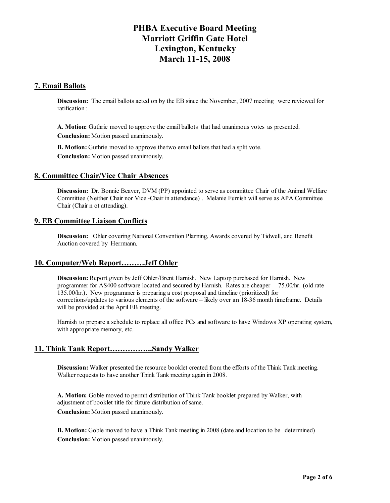## **7. Email Ballots**

**Discussion:** The email ballots acted on by the EB since the November, 2007 meeting were reviewed for ratification :

**A. Motion:** Guthrie moved to approve the email ballots that had unanimous votes as presented. **Conclusion:** Motion passed unanimously.

**B. Motion:** Guthrie moved to approve the two email ballots that had a split vote. **Conclusion:** Motion passed unanimously.

#### **8. Committee Chair/Vice Chair Absences**

**Discussion:** Dr. Bonnie Beaver, DVM (PP) appointed to serve as committee Chair of the Animal Welfare Committee (Neither Chair nor Vice -Chair in attendance) . Melanie Furnish will serve as APA Committee Chair (Chair n ot attending).

#### **9. EB Committee Liaison Conflicts**

**Discussion:** Ohler covering National Convention Planning, Awards covered by Tidwell, and Benefit Auction covered by Herrmann.

### **10. Computer/Web Report………Jeff Ohler**

**Discussion:** Report given by Jeff Ohler/Brent Harnish. New Laptop purchased for Harnish. New programmer for AS400 software located and secured by Harnish. Rates are cheaper – 75.00/hr. (old rate 135.00/hr.). New programmer is preparing a cost proposal and timeline (prioritized) for corrections/updates to various elements of the software – likely over an 18-36 month timeframe. Details will be provided at the April EB meeting.

Harnish to prepare a schedule to replace all office PCs and software to have Windows XP operating system, with appropriate memory, etc.

### **11. Think Tank Report……………..Sandy Walker**

**Discussion:** Walker presented the resource booklet created from the efforts of the Think Tank meeting. Walker requests to have another Think Tank meeting again in 2008.

**A. Motion:** Goble moved to permit distribution of Think Tank booklet prepared by Walker, with adjustment of booklet title for future distribution of same. **Conclusion:** Motion passed unanimously.

**B. Motion:** Goble moved to have a Think Tank meeting in 2008 (date and location to be determined) **Conclusion:** Motion passed unanimously.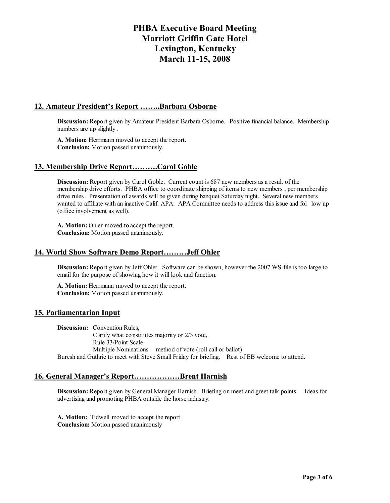## **12. Amateur President's Report ……..Barbara Osborne**

**Discussion:** Report given by Amateur President Barbara Osborne. Positive financial balance. Membership numbers are up slightly .

**A. Motion:** Herrmann moved to accept the report. **Conclusion:** Motion passed unanimously.

### **13. Membership Drive Report……….Carol Goble**

**Discussion:** Report given by Carol Goble. Current count is 687 new members as a result of the membership drive efforts. PHBA office to coordinate shipping of items to new members , per membership drive rules. Presentation of awards will be given during banquet Saturday night. Several new members wanted to affiliate with an inactive Calif. APA. APA Committee needs to address this issue and fol low up (office involvement as well).

**A. Motion:** Ohler moved to accept the report. **Conclusion:** Motion passed unanimously.

#### **14. World Show Software Demo Report………Jeff Ohler**

**Discussion:** Report given by Jeff Ohler. Software can be shown, however the 2007 WS file is too large to email for the purpose of showing how it will look and function.

**A. Motion:** Herrmann moved to accept the report. **Conclusion:** Motion passed unanimously.

### **15. Parliamentarian Input**

**Discussion:** Convention Rules, Clarify what constitutes majority or 2/3 vote, Rule 33/Point Scale Multiple Nominations – method of vote (roll call or ballot) Buresh and Guthrie to meet with Steve Small Friday for briefing. Rest of EB welcome to attend.

### **16. General Manager's Report………………Brent Harnish**

**Discussion:** Report given by General Manager Harnish. Briefing on meet and greet talk points. Ideas for advertising and promoting PHBA outside the horse industry.

**A. Motion:** Tidwell moved to accept the report. **Conclusion:** Motion passed unanimously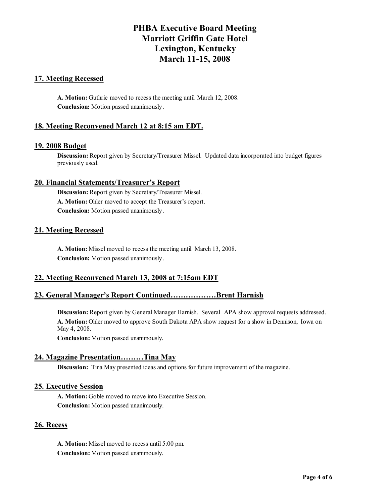## **17. Meeting Recessed**

**A. Motion:** Guthrie moved to recess the meeting until March 12, 2008. **Conclusion:** Motion passed unanimously .

## **18. Meeting Reconvened March 12 at 8:15 am EDT.**

#### **19. 2008 Budget**

**Discussion:** Report given by Secretary/Treasurer Missel. Updated data incorporated into budget figures previously used.

#### **20. Financial Statements/Treasurer's Report**

**Discussion:** Report given by Secretary/Treasurer Missel. **A. Motion:** Ohler moved to accept the Treasurer's report. **Conclusion:** Motion passed unanimously .

### **21. Meeting Recessed**

**A. Motion:** Missel moved to recess the meeting until March 13, 2008. **Conclusion:** Motion passed unanimously .

### **22. Meeting Reconvened March 13, 2008 at 7:15am EDT**

## **23. General Manager's Report Continued………………Brent Harnish**

**Discussion:** Report given by General Manager Harnish. Several APA show approval requests addressed. **A. Motion:** Ohler moved to approve South Dakota APA show request for a show in Dennison, Iowa on May 4, 2008.

**Conclusion:** Motion passed unanimously.

### **24. Magazine Presentation………Tina May**

**Discussion:** Tina May presented ideas and options for future improvement of the magazine.

#### **25. Executive Session**

**A. Motion:** Goble moved to move into Executive Session. **Conclusion:** Motion passed unanimously.

### **26. Recess**

**A. Motion:** Missel moved to recess until 5:00 pm. **Conclusion:** Motion passed unanimously.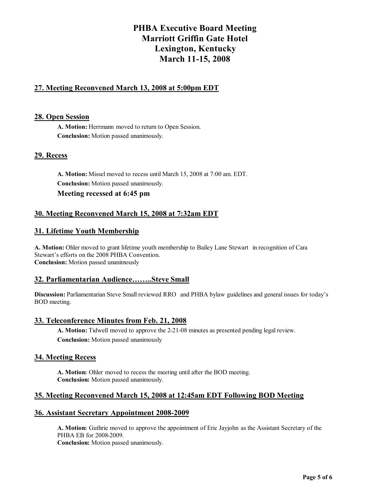# **27. Meeting Reconvened March 13, 2008 at 5:00pm EDT**

### **28. Open Session**

**A. Motion:** Herrmann moved to return to Open Session. **Conclusion:** Motion passed unanimously.

## **29. Recess**

**A. Motion:** Missel moved to recess until March 15, 2008 at 7:00 am. EDT. **Conclusion:** Motion passed unanimously. **Meeting recessed at 6:45 pm**

## **30. Meeting Reconvened March 15, 2008 at 7:32am EDT**

## **31. Lifetime Youth Membership**

**A. Motion:** Ohler moved to grant lifetime youth membership to Bailey Lane Stewart in recognition of Cara Stewart's efforts on the 2008 PHBA Convention. **Conclusion:** Motion passed unanimously

### **32. Parliamentarian Audience……..Steve Small**

**Discussion:** Parliamentarian Steve Small reviewed RRO and PHBA bylaw guidelines and general issues for today's BOD meeting.

### **33. Teleconference Minutes from Feb. 21, 2008**

**A. Motion:** Tidwell moved to approve the 2-21-08 minutes as presented pending legal review. **Conclusion:** Motion passed unanimously

### **34. Meeting Recess**

**A. Motion:** Ohler moved to recess the meeting until after the BOD meeting. **Conclusion:** Motion passed unanimously.

## **35. Meeting Reconvened March 15, 2008 at 12:45am EDT Following BOD Meeting**

### **36. Assistant Secretary Appointment 2008-2009**

**A. Motion:** Guthrie moved to approve the appointment of Eric Jayjohn as the Assistant Secretary of the PHBA EB for 2008-2009.

**Conclusion:** Motion passed unanimously.